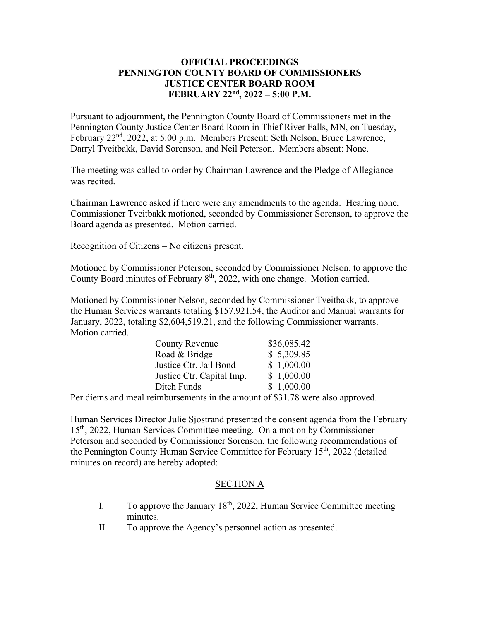## **OFFICIAL PROCEEDINGS PENNINGTON COUNTY BOARD OF COMMISSIONERS JUSTICE CENTER BOARD ROOM FEBRUARY 22nd, 2022 – 5:00 P.M.**

Pursuant to adjournment, the Pennington County Board of Commissioners met in the Pennington County Justice Center Board Room in Thief River Falls, MN, on Tuesday, February 22<sup>nd</sup>, 2022, at 5:00 p.m. Members Present: Seth Nelson, Bruce Lawrence, Darryl Tveitbakk, David Sorenson, and Neil Peterson. Members absent: None.

The meeting was called to order by Chairman Lawrence and the Pledge of Allegiance was recited.

Chairman Lawrence asked if there were any amendments to the agenda. Hearing none, Commissioner Tveitbakk motioned, seconded by Commissioner Sorenson, to approve the Board agenda as presented. Motion carried.

Recognition of Citizens – No citizens present.

Motioned by Commissioner Peterson, seconded by Commissioner Nelson, to approve the County Board minutes of February 8<sup>th</sup>, 2022, with one change. Motion carried.

Motioned by Commissioner Nelson, seconded by Commissioner Tveitbakk, to approve the Human Services warrants totaling \$157,921.54, the Auditor and Manual warrants for January, 2022, totaling \$2,604,519.21, and the following Commissioner warrants. Motion carried.

| <b>County Revenue</b>     | \$36,085.42 |
|---------------------------|-------------|
| Road & Bridge             | \$5,309.85  |
| Justice Ctr. Jail Bond    | \$1,000.00  |
| Justice Ctr. Capital Imp. | \$1,000.00  |
| Ditch Funds               | \$1,000.00  |

Per diems and meal reimbursements in the amount of \$31.78 were also approved.

Human Services Director Julie Sjostrand presented the consent agenda from the February 15th, 2022, Human Services Committee meeting. On a motion by Commissioner Peterson and seconded by Commissioner Sorenson, the following recommendations of the Pennington County Human Service Committee for February 15<sup>th</sup>, 2022 (detailed minutes on record) are hereby adopted:

## SECTION A

- I. To approve the January  $18<sup>th</sup>$ , 2022, Human Service Committee meeting minutes.
- II. To approve the Agency's personnel action as presented.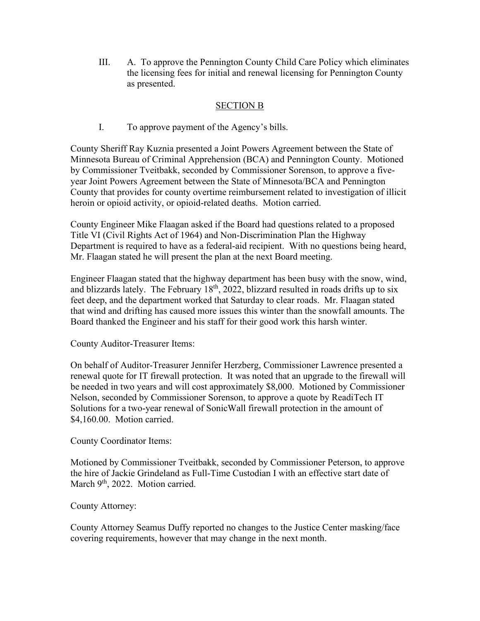III. A. To approve the Pennington County Child Care Policy which eliminates the licensing fees for initial and renewal licensing for Pennington County as presented.

## SECTION B

I. To approve payment of the Agency's bills.

County Sheriff Ray Kuznia presented a Joint Powers Agreement between the State of Minnesota Bureau of Criminal Apprehension (BCA) and Pennington County. Motioned by Commissioner Tveitbakk, seconded by Commissioner Sorenson, to approve a fiveyear Joint Powers Agreement between the State of Minnesota/BCA and Pennington County that provides for county overtime reimbursement related to investigation of illicit heroin or opioid activity, or opioid-related deaths. Motion carried.

County Engineer Mike Flaagan asked if the Board had questions related to a proposed Title VI (Civil Rights Act of 1964) and Non-Discrimination Plan the Highway Department is required to have as a federal-aid recipient. With no questions being heard, Mr. Flaagan stated he will present the plan at the next Board meeting.

Engineer Flaagan stated that the highway department has been busy with the snow, wind, and blizzards lately. The February  $18<sup>th</sup>$ , 2022, blizzard resulted in roads drifts up to six feet deep, and the department worked that Saturday to clear roads. Mr. Flaagan stated that wind and drifting has caused more issues this winter than the snowfall amounts. The Board thanked the Engineer and his staff for their good work this harsh winter.

County Auditor-Treasurer Items:

On behalf of Auditor-Treasurer Jennifer Herzberg, Commissioner Lawrence presented a renewal quote for IT firewall protection. It was noted that an upgrade to the firewall will be needed in two years and will cost approximately \$8,000. Motioned by Commissioner Nelson, seconded by Commissioner Sorenson, to approve a quote by ReadiTech IT Solutions for a two-year renewal of SonicWall firewall protection in the amount of \$4,160.00. Motion carried.

County Coordinator Items:

Motioned by Commissioner Tveitbakk, seconded by Commissioner Peterson, to approve the hire of Jackie Grindeland as Full-Time Custodian I with an effective start date of March 9<sup>th</sup>, 2022. Motion carried.

County Attorney:

County Attorney Seamus Duffy reported no changes to the Justice Center masking/face covering requirements, however that may change in the next month.